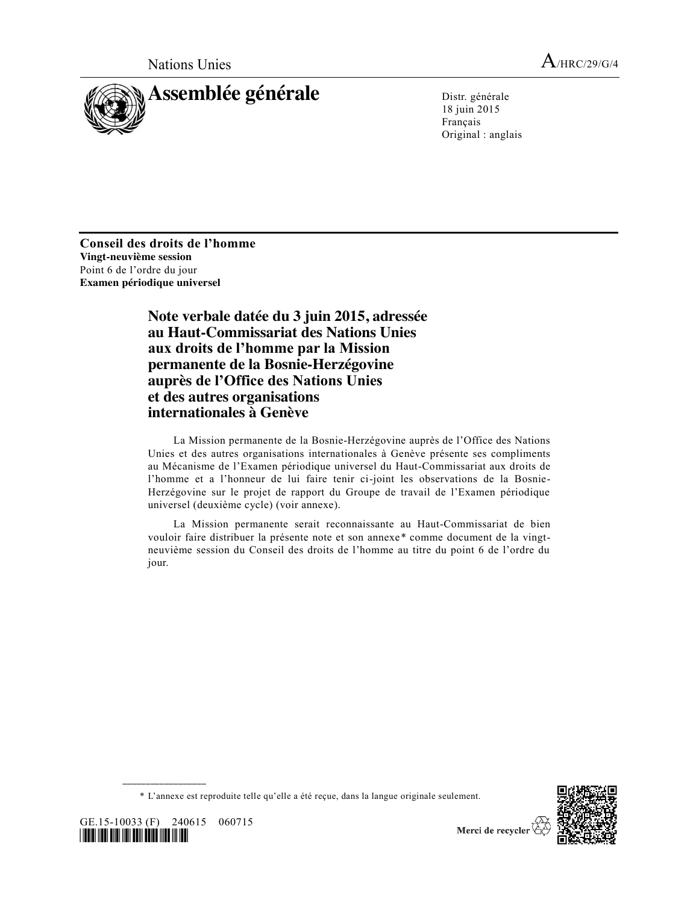

18 juin 2015 Français Original : anglais

**Conseil des droits de l'homme Vingt-neuvième session** Point 6 de l'ordre du jour **Examen périodique universel**

> **Note verbale datée du 3 juin 2015, adressée au Haut-Commissariat des Nations Unies aux droits de l'homme par la Mission permanente de la Bosnie-Herzégovine auprès de l'Office des Nations Unies et des autres organisations internationales à Genève**

La Mission permanente de la Bosnie-Herzégovine auprès de l'Office des Nations Unies et des autres organisations internationales à Genève présente ses compliments au Mécanisme de l'Examen périodique universel du Haut-Commissariat aux droits de l'homme et a l'honneur de lui faire tenir ci-joint les observations de la Bosnie-Herzégovine sur le projet de rapport du Groupe de travail de l'Examen périodique universel (deuxième cycle) (voir annexe).

La Mission permanente serait reconnaissante au Haut-Commissariat de bien vouloir faire distribuer la présente note et son annexe\* comme document de la vingtneuvième session du Conseil des droits de l'homme au titre du point 6 de l'ordre du jour.

\* L'annexe est reproduite telle qu'elle a été reçue, dans la langue originale seulement.



GE.15-10033 (F) 240615 060715 <u>11510 1151 1151 1151 1511 1511 1515 1516 1517</u>

**\_\_\_\_\_\_\_\_\_\_\_\_\_\_\_\_\_\_**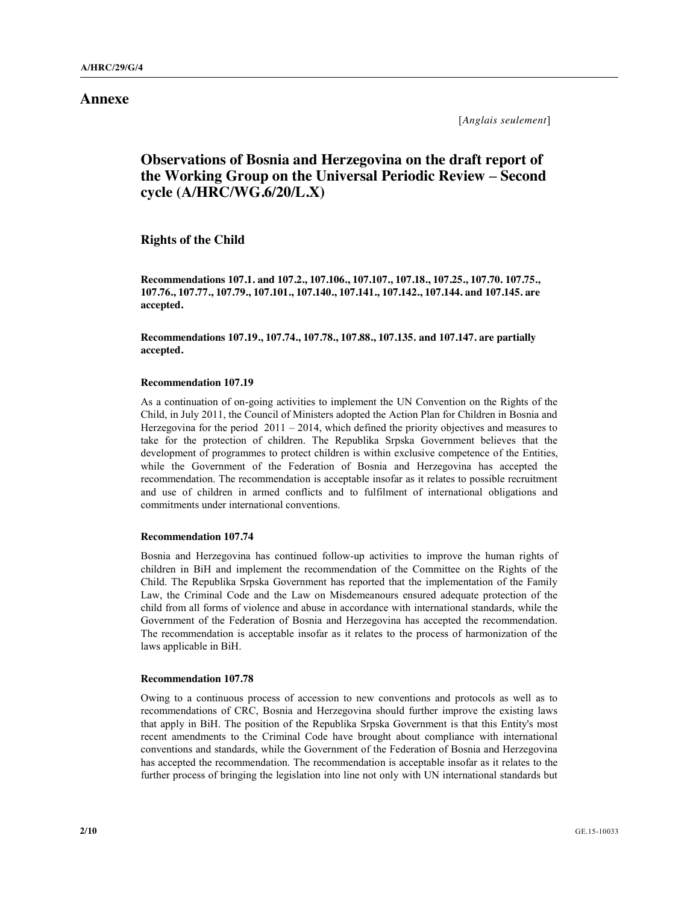### **Annexe**

[*Anglais seulement*]

# **Observations of Bosnia and Herzegovina on the draft report of the Working Group on the Universal Periodic Review – Second cycle (A/HRC/WG.6/20/L.X)**

**Rights of the Child**

**Recommendations 107.1. and 107.2., 107.106., 107.107., 107.18., 107.25., 107.70. 107.75., 107.76., 107.77., 107.79., 107.101., 107.140., 107.141., 107.142., 107.144. and 107.145. are accepted.**

**Recommendations 107.19., 107.74., 107.78., 107.88., 107.135. and 107.147. are partially accepted.**

#### **Recommendation 107.19**

As a continuation of on-going activities to implement the UN Convention on the Rights of the Child, in July 2011, the Council of Ministers adopted the Action Plan for Children in Bosnia and Herzegovina for the period  $2011 - 2014$ , which defined the priority objectives and measures to take for the protection of children. The Republika Srpska Government believes that the development of programmes to protect children is within exclusive competence of the Entities, while the Government of the Federation of Bosnia and Herzegovina has accepted the recommendation. The recommendation is acceptable insofar as it relates to possible recruitment and use of children in armed conflicts and to fulfilment of international obligations and commitments under international conventions.

### **Recommendation 107.74**

Bosnia and Herzegovina has continued follow-up activities to improve the human rights of children in BiH and implement the recommendation of the Committee on the Rights of the Child. The Republika Srpska Government has reported that the implementation of the Family Law, the Criminal Code and the Law on Misdemeanours ensured adequate protection of the child from all forms of violence and abuse in accordance with international standards, while the Government of the Federation of Bosnia and Herzegovina has accepted the recommendation. The recommendation is acceptable insofar as it relates to the process of harmonization of the laws applicable in BiH.

### **Recommendation 107.78**

Owing to a continuous process of accession to new conventions and protocols as well as to recommendations of CRC, Bosnia and Herzegovina should further improve the existing laws that apply in BiH. The position of the Republika Srpska Government is that this Entity's most recent amendments to the Criminal Code have brought about compliance with international conventions and standards, while the Government of the Federation of Bosnia and Herzegovina has accepted the recommendation. The recommendation is acceptable insofar as it relates to the further process of bringing the legislation into line not only with UN international standards but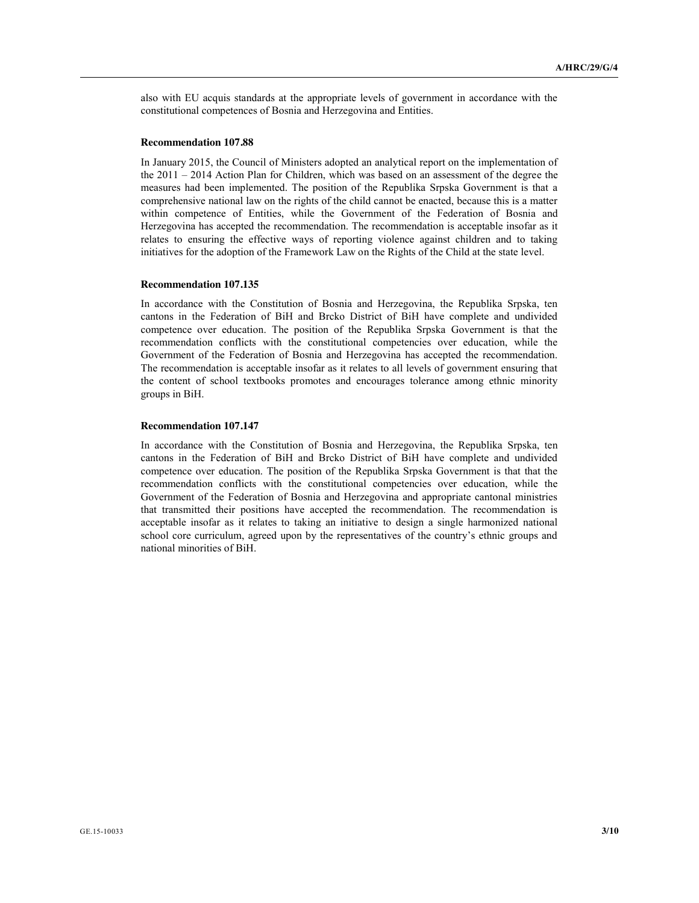also with EU acquis standards at the appropriate levels of government in accordance with the constitutional competences of Bosnia and Herzegovina and Entities.

#### **Recommendation 107.88**

In January 2015, the Council of Ministers adopted an analytical report on the implementation of the 2011 – 2014 Action Plan for Children, which was based on an assessment of the degree the measures had been implemented. The position of the Republika Srpska Government is that a comprehensive national law on the rights of the child cannot be enacted, because this is a matter within competence of Entities, while the Government of the Federation of Bosnia and Herzegovina has accepted the recommendation. The recommendation is acceptable insofar as it relates to ensuring the effective ways of reporting violence against children and to taking initiatives for the adoption of the Framework Law on the Rights of the Child at the state level.

#### **Recommendation 107.135**

In accordance with the Constitution of Bosnia and Herzegovina, the Republika Srpska, ten cantons in the Federation of BiH and Brcko District of BiH have complete and undivided competence over education. The position of the Republika Srpska Government is that the recommendation conflicts with the constitutional competencies over education, while the Government of the Federation of Bosnia and Herzegovina has accepted the recommendation. The recommendation is acceptable insofar as it relates to all levels of government ensuring that the content of school textbooks promotes and encourages tolerance among ethnic minority groups in BiH.

### **Recommendation 107.147**

In accordance with the Constitution of Bosnia and Herzegovina, the Republika Srpska, ten cantons in the Federation of BiH and Brcko District of BiH have complete and undivided competence over education. The position of the Republika Srpska Government is that that the recommendation conflicts with the constitutional competencies over education, while the Government of the Federation of Bosnia and Herzegovina and appropriate cantonal ministries that transmitted their positions have accepted the recommendation. The recommendation is acceptable insofar as it relates to taking an initiative to design a single harmonized national school core curriculum, agreed upon by the representatives of the country's ethnic groups and national minorities of BiH.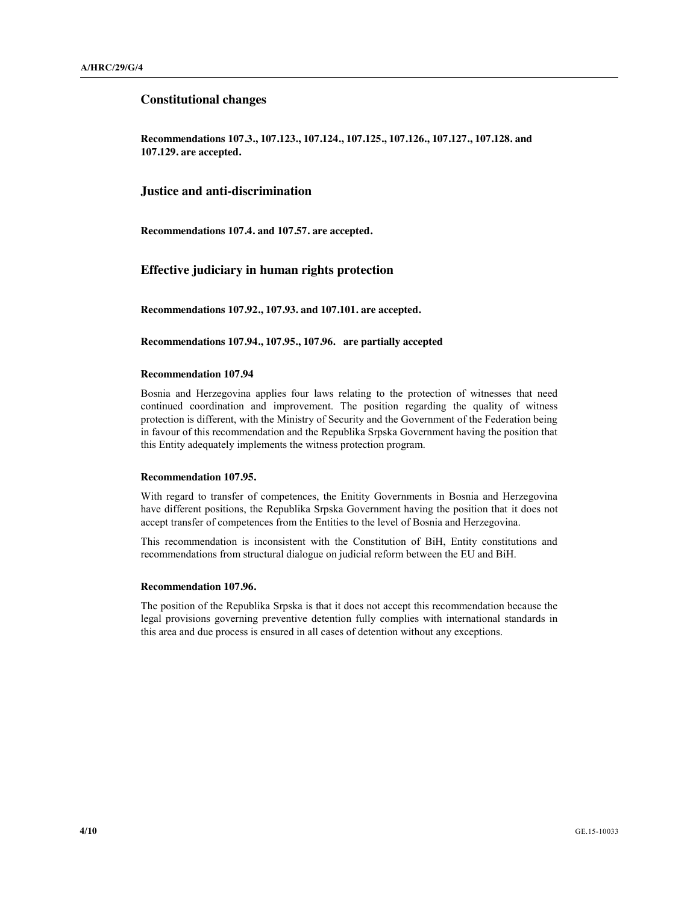### **Constitutional changes**

**Recommendations 107.3., 107.123., 107.124., 107.125., 107.126., 107.127., 107.128. and 107.129. are accepted.** 

#### **Justice and anti-discrimination**

**Recommendations 107.4. and 107.57. are accepted.**

# **Effective judiciary in human rights protection**

**Recommendations 107.92., 107.93. and 107.101. are accepted.**

**Recommendations 107.94., 107.95., 107.96. are partially accepted**

### **Recommendation 107.94**

Bosnia and Herzegovina applies four laws relating to the protection of witnesses that need continued coordination and improvement. The position regarding the quality of witness protection is different, with the Ministry of Security and the Government of the Federation being in favour of this recommendation and the Republika Srpska Government having the position that this Entity adequately implements the witness protection program.

### **Recommendation 107.95.**

With regard to transfer of competences, the Enitity Governments in Bosnia and Herzegovina have different positions, the Republika Srpska Government having the position that it does not accept transfer of competences from the Entities to the level of Bosnia and Herzegovina.

This recommendation is inconsistent with the Constitution of BiH, Entity constitutions and recommendations from structural dialogue on judicial reform between the EU and BiH.

#### **Recommendation 107.96.**

The position of the Republika Srpska is that it does not accept this recommendation because the legal provisions governing preventive detention fully complies with international standards in this area and due process is ensured in all cases of detention without any exceptions.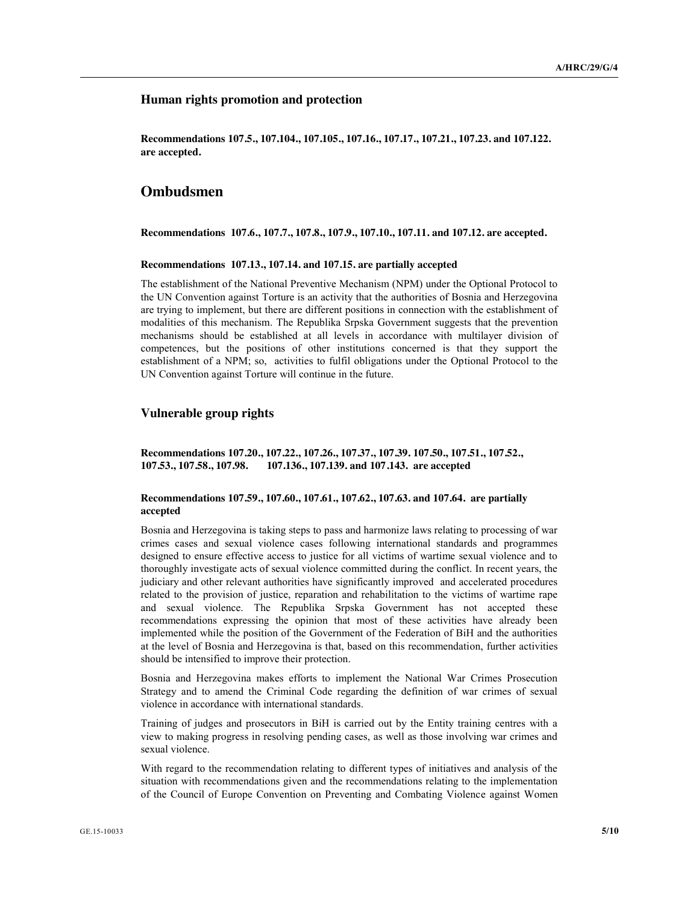# **Human rights promotion and protection**

**Recommendations 107.5., 107.104., 107.105., 107.16., 107.17., 107.21., 107.23. and 107.122. are accepted.**

# **Ombudsmen**

**Recommendations 107.6., 107.7., 107.8., 107.9., 107.10., 107.11. and 107.12. are accepted.**

#### **Recommendations 107.13., 107.14. and 107.15. are partially accepted**

The establishment of the National Preventive Mechanism (NPM) under the Optional Protocol to the UN Convention against Torture is an activity that the authorities of Bosnia and Herzegovina are trying to implement, but there are different positions in connection with the establishment of modalities of this mechanism. The Republika Srpska Government suggests that the prevention mechanisms should be established at all levels in accordance with multilayer division of competences, but the positions of other institutions concerned is that they support the establishment of a NPM; so, activities to fulfil obligations under the Optional Protocol to the UN Convention against Torture will continue in the future.

# **Vulnerable group rights**

**Recommendations 107.20., 107.22., 107.26., 107.37., 107.39. 107.50., 107.51., 107.52., 107.53., 107.58., 107.98. 107.136., 107.139. and 107.143. are accepted**

#### **Recommendations 107.59., 107.60., 107.61., 107.62., 107.63. and 107.64. are partially accepted**

Bosnia and Herzegovina is taking steps to pass and harmonize laws relating to processing of war crimes cases and sexual violence cases following international standards and programmes designed to ensure effective access to justice for all victims of wartime sexual violence and to thoroughly investigate acts of sexual violence committed during the conflict. In recent years, the judiciary and other relevant authorities have significantly improved and accelerated procedures related to the provision of justice, reparation and rehabilitation to the victims of wartime rape and sexual violence. The Republika Srpska Government has not accepted these recommendations expressing the opinion that most of these activities have already been implemented while the position of the Government of the Federation of BiH and the authorities at the level of Bosnia and Herzegovina is that, based on this recommendation, further activities should be intensified to improve their protection.

Bosnia and Herzegovina makes efforts to implement the National War Crimes Prosecution Strategy and to amend the Criminal Code regarding the definition of war crimes of sexual violence in accordance with international standards.

Training of judges and prosecutors in BiH is carried out by the Entity training centres with a view to making progress in resolving pending cases, as well as those involving war crimes and sexual violence.

With regard to the recommendation relating to different types of initiatives and analysis of the situation with recommendations given and the recommendations relating to the implementation of the Council of Europe Convention on Preventing and Combating Violence against Women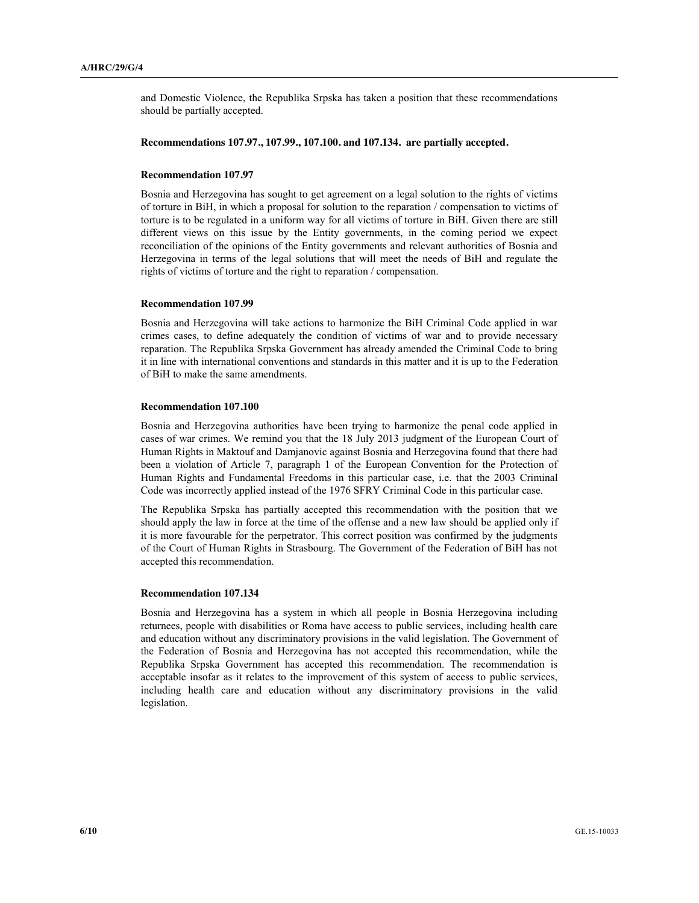and Domestic Violence, the Republika Srpska has taken a position that these recommendations should be partially accepted.

# **Recommendations 107.97., 107.99., 107.100. and 107.134. are partially accepted.**

### **Recommendation 107.97**

Bosnia and Herzegovina has sought to get agreement on a legal solution to the rights of victims of torture in BiH, in which a proposal for solution to the reparation / compensation to victims of torture is to be regulated in a uniform way for all victims of torture in BiH. Given there are still different views on this issue by the Entity governments, in the coming period we expect reconciliation of the opinions of the Entity governments and relevant authorities of Bosnia and Herzegovina in terms of the legal solutions that will meet the needs of BiH and regulate the rights of victims of torture and the right to reparation / compensation.

#### **Recommendation 107.99**

Bosnia and Herzegovina will take actions to harmonize the BiH Criminal Code applied in war crimes cases, to define adequately the condition of victims of war and to provide necessary reparation. The Republika Srpska Government has already amended the Criminal Code to bring it in line with international conventions and standards in this matter and it is up to the Federation of BiH to make the same amendments.

### **Recommendation 107.100**

Bosnia and Herzegovina authorities have been trying to harmonize the penal code applied in cases of war crimes. We remind you that the 18 July 2013 judgment of the European Court of Human Rights in Maktouf and Damjanovic against Bosnia and Herzegovina found that there had been a violation of Article 7, paragraph 1 of the European Convention for the Protection of Human Rights and Fundamental Freedoms in this particular case, i.e. that the 2003 Criminal Code was incorrectly applied instead of the 1976 SFRY Criminal Code in this particular case.

The Republika Srpska has partially accepted this recommendation with the position that we should apply the law in force at the time of the offense and a new law should be applied only if it is more favourable for the perpetrator. This correct position was confirmed by the judgments of the Court of Human Rights in Strasbourg. The Government of the Federation of BiH has not accepted this recommendation.

#### **Recommendation 107.134**

Bosnia and Herzegovina has a system in which all people in Bosnia Herzegovina including returnees, people with disabilities or Roma have access to public services, including health care and education without any discriminatory provisions in the valid legislation. The Government of the Federation of Bosnia and Herzegovina has not accepted this recommendation, while the Republika Srpska Government has accepted this recommendation. The recommendation is acceptable insofar as it relates to the improvement of this system of access to public services, including health care and education without any discriminatory provisions in the valid legislation.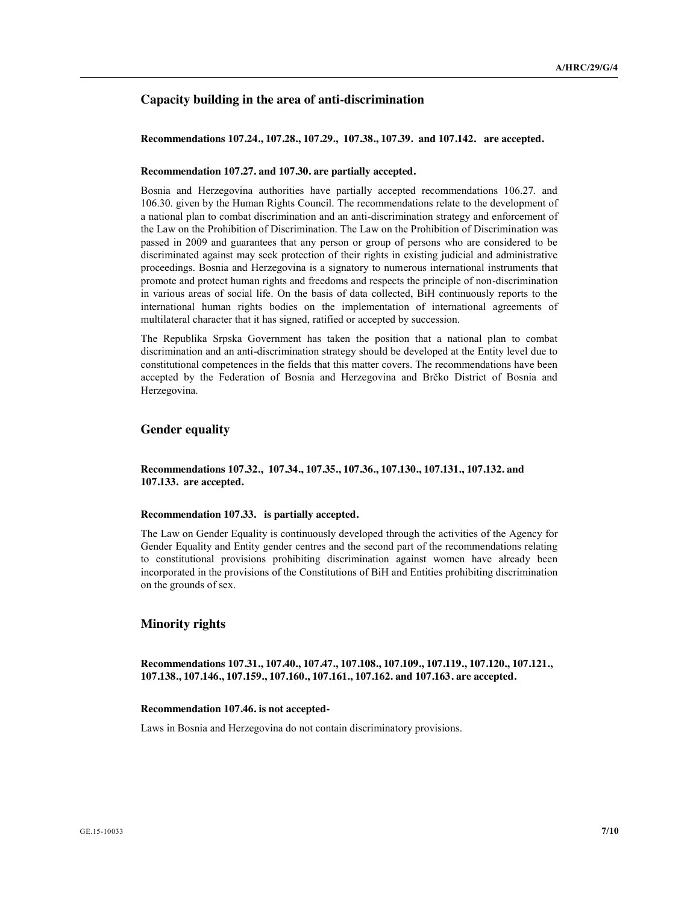# **Capacity building in the area of anti-discrimination**

**Recommendations 107.24., 107.28., 107.29., 107.38., 107.39. and 107.142. are accepted.**

#### **Recommendation 107.27. and 107.30. are partially accepted.**

Bosnia and Herzegovina authorities have partially accepted recommendations 106.27. and 106.30. given by the Human Rights Council. The recommendations relate to the development of a national plan to combat discrimination and an anti-discrimination strategy and enforcement of the Law on the Prohibition of Discrimination. The Law on the Prohibition of Discrimination was passed in 2009 and guarantees that any person or group of persons who are considered to be discriminated against may seek protection of their rights in existing judicial and administrative proceedings. Bosnia and Herzegovina is a signatory to numerous international instruments that promote and protect human rights and freedoms and respects the principle of non-discrimination in various areas of social life. On the basis of data collected, BiH continuously reports to the international human rights bodies on the implementation of international agreements of multilateral character that it has signed, ratified or accepted by succession.

The Republika Srpska Government has taken the position that a national plan to combat discrimination and an anti-discrimination strategy should be developed at the Entity level due to constitutional competences in the fields that this matter covers. The recommendations have been accepted by the Federation of Bosnia and Herzegovina and Brčko District of Bosnia and Herzegovina.

### **Gender equality**

**Recommendations 107.32., 107.34., 107.35., 107.36., 107.130., 107.131., 107.132. and 107.133. are accepted.**

### **Recommendation 107.33. is partially accepted.**

The Law on Gender Equality is continuously developed through the activities of the Agency for Gender Equality and Entity gender centres and the second part of the recommendations relating to constitutional provisions prohibiting discrimination against women have already been incorporated in the provisions of the Constitutions of BiH and Entities prohibiting discrimination on the grounds of sex.

## **Minority rights**

**Recommendations 107.31., 107.40., 107.47., 107.108., 107.109., 107.119., 107.120., 107.121., 107.138., 107.146., 107.159., 107.160., 107.161., 107.162. and 107.163. are accepted.**

### **Recommendation 107.46. is not accepted-**

Laws in Bosnia and Herzegovina do not contain discriminatory provisions.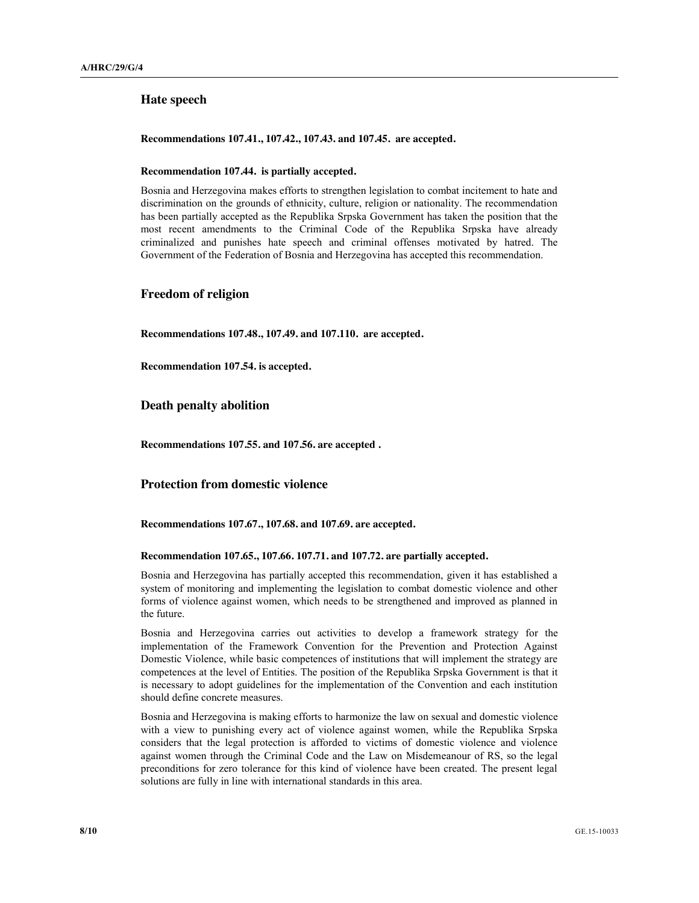# **Hate speech**

**Recommendations 107.41., 107.42., 107.43. and 107.45. are accepted.**

#### **Recommendation 107.44. is partially accepted.**

Bosnia and Herzegovina makes efforts to strengthen legislation to combat incitement to hate and discrimination on the grounds of ethnicity, culture, religion or nationality. The recommendation has been partially accepted as the Republika Srpska Government has taken the position that the most recent amendments to the Criminal Code of the Republika Srpska have already criminalized and punishes hate speech and criminal offenses motivated by hatred. The Government of the Federation of Bosnia and Herzegovina has accepted this recommendation.

## **Freedom of religion**

**Recommendations 107.48., 107.49. and 107.110. are accepted.**

**Recommendation 107.54. is accepted.**

### **Death penalty abolition**

**Recommendations 107.55. and 107.56. are accepted .**

## **Protection from domestic violence**

**Recommendations 107.67., 107.68. and 107.69. are accepted.**

#### **Recommendation 107.65., 107.66. 107.71. and 107.72. are partially accepted.**

Bosnia and Herzegovina has partially accepted this recommendation, given it has established a system of monitoring and implementing the legislation to combat domestic violence and other forms of violence against women, which needs to be strengthened and improved as planned in the future.

Bosnia and Herzegovina carries out activities to develop a framework strategy for the implementation of the Framework Convention for the Prevention and Protection Against Domestic Violence, while basic competences of institutions that will implement the strategy are competences at the level of Entities. The position of the Republika Srpska Government is that it is necessary to adopt guidelines for the implementation of the Convention and each institution should define concrete measures.

Bosnia and Herzegovina is making efforts to harmonize the law on sexual and domestic violence with a view to punishing every act of violence against women, while the Republika Srpska considers that the legal protection is afforded to victims of domestic violence and violence against women through the Criminal Code and the Law on Misdemeanour of RS, so the legal preconditions for zero tolerance for this kind of violence have been created. The present legal solutions are fully in line with international standards in this area.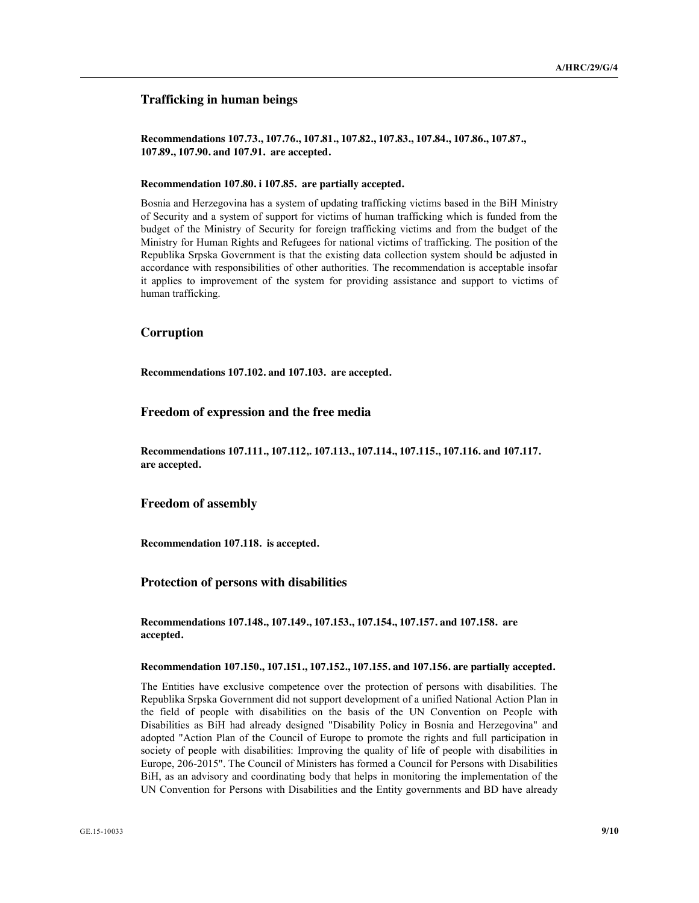# **Trafficking in human beings**

**Recommendations 107.73., 107.76., 107.81., 107.82., 107.83., 107.84., 107.86., 107.87., 107.89., 107.90. and 107.91. are accepted.**

#### **Recommendation 107.80. i 107.85. are partially accepted.**

Bosnia and Herzegovina has a system of updating trafficking victims based in the BiH Ministry of Security and a system of support for victims of human trafficking which is funded from the budget of the Ministry of Security for foreign trafficking victims and from the budget of the Ministry for Human Rights and Refugees for national victims of trafficking. The position of the Republika Srpska Government is that the existing data collection system should be adjusted in accordance with responsibilities of other authorities. The recommendation is acceptable insofar it applies to improvement of the system for providing assistance and support to victims of human trafficking.

# **Corruption**

**Recommendations 107.102. and 107.103. are accepted.**

# **Freedom of expression and the free media**

**Recommendations 107.111., 107.112,. 107.113., 107.114., 107.115., 107.116. and 107.117. are accepted.**

#### **Freedom of assembly**

**Recommendation 107.118. is accepted.**

### **Protection of persons with disabilities**

**Recommendations 107.148., 107.149., 107.153., 107.154., 107.157. and 107.158. are accepted.**

### **Recommendation 107.150., 107.151., 107.152., 107.155. and 107.156. are partially accepted.**

The Entities have exclusive competence over the protection of persons with disabilities. The Republika Srpska Government did not support development of a unified National Action Plan in the field of people with disabilities on the basis of the UN Convention on People with Disabilities as BiH had already designed "Disability Policy in Bosnia and Herzegovina" and adopted "Action Plan of the Council of Europe to promote the rights and full participation in society of people with disabilities: Improving the quality of life of people with disabilities in Europe, 206-2015". The Council of Ministers has formed a Council for Persons with Disabilities BiH, as an advisory and coordinating body that helps in monitoring the implementation of the UN Convention for Persons with Disabilities and the Entity governments and BD have already